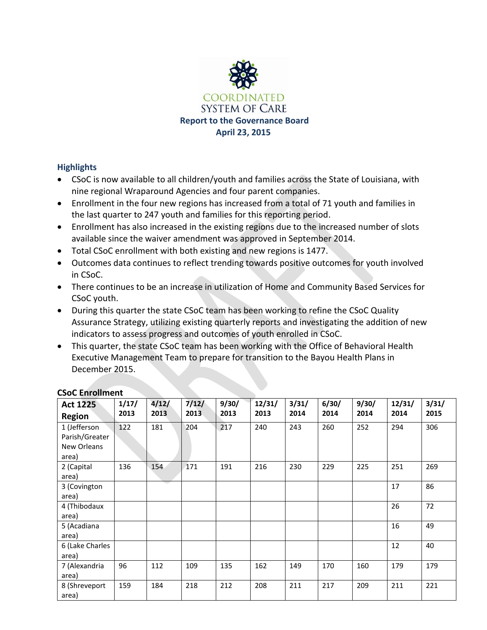

### **Highlights**

- CSoC is now available to all children/youth and families across the State of Louisiana, with nine regional Wraparound Agencies and four parent companies.
- Enrollment in the four new regions has increased from a total of 71 youth and families in the last quarter to 247 youth and families for this reporting period.
- Enrollment has also increased in the existing regions due to the increased number of slots available since the waiver amendment was approved in September 2014.
- Total CSoC enrollment with both existing and new regions is 1477.
- Outcomes data continues to reflect trending towards positive outcomes for youth involved in CSoC.
- There continues to be an increase in utilization of Home and Community Based Services for CSoC youth.
- During this quarter the state CSoC team has been working to refine the CSoC Quality Assurance Strategy, utilizing existing quarterly reports and investigating the addition of new indicators to assess progress and outcomes of youth enrolled in CSoC.
- This quarter, the state CSoC team has been working with the Office of Behavioral Health Executive Management Team to prepare for transition to the Bayou Health Plans in December 2015.

| <b>Act 1225</b> | 1/17/ | 4/12/ | 7/12/ | 9/30/ | 12/31/ | 3/31/ | 6/30/ | 9/30/ | 12/31/ | 3/31/ |
|-----------------|-------|-------|-------|-------|--------|-------|-------|-------|--------|-------|
| <b>Region</b>   | 2013  | 2013  | 2013  | 2013  | 2013   | 2014  | 2014  | 2014  | 2014   | 2015  |
| 1 (Jefferson    | 122   | 181   | 204   | 217   | 240    | 243   | 260   | 252   | 294    | 306   |
| Parish/Greater  |       |       |       |       |        |       |       |       |        |       |
| New Orleans     |       |       |       |       |        |       |       |       |        |       |
| area)           |       |       |       |       |        |       |       |       |        |       |
| 2 (Capital      | 136   | 154   | 171   | 191   | 216    | 230   | 229   | 225   | 251    | 269   |
| area)           |       |       |       |       |        |       |       |       |        |       |
| 3 (Covington    |       |       |       |       |        |       |       |       | 17     | 86    |
| area)           |       |       |       |       |        |       |       |       |        |       |
| 4 (Thibodaux    |       |       |       |       |        |       |       |       | 26     | 72    |
| area)           |       |       |       |       |        |       |       |       |        |       |
| 5 (Acadiana     |       |       |       |       |        |       |       |       | 16     | 49    |
| area)           |       |       |       |       |        |       |       |       |        |       |
| 6 (Lake Charles |       |       |       |       |        |       |       |       | 12     | 40    |
| area)           |       |       |       |       |        |       |       |       |        |       |
| 7 (Alexandria   | 96    | 112   | 109   | 135   | 162    | 149   | 170   | 160   | 179    | 179   |
| area)           |       |       |       |       |        |       |       |       |        |       |
| 8 (Shreveport   | 159   | 184   | 218   | 212   | 208    | 211   | 217   | 209   | 211    | 221   |
| area)           |       |       |       |       |        |       |       |       |        |       |

## **CSoC Enrollment**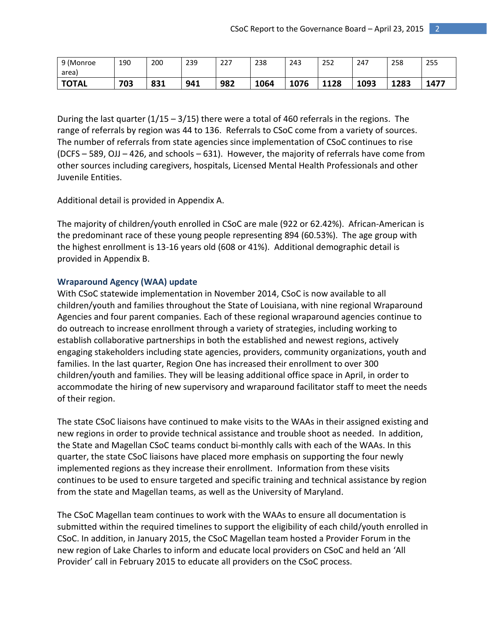| 9 (Monroe    | 190 | 200         | 239 | ר ר<br>221 | 238  | 243  | 252  | 247  | 258  | 255  |
|--------------|-----|-------------|-----|------------|------|------|------|------|------|------|
| area)        |     |             |     |            |      |      |      |      |      |      |
| <b>TOTAL</b> | 703 | 021<br>83 L | 941 | 982        | 1064 | 1076 | 1128 | 1093 | 1283 | 1477 |

During the last quarter  $(1/15 - 3/15)$  there were a total of 460 referrals in the regions. The range of referrals by region was 44 to 136. Referrals to CSoC come from a variety of sources. The number of referrals from state agencies since implementation of CSoC continues to rise (DCFS – 589, OJJ – 426, and schools – 631). However, the majority of referrals have come from other sources including caregivers, hospitals, Licensed Mental Health Professionals and other Juvenile Entities.

Additional detail is provided in Appendix A.

The majority of children/youth enrolled in CSoC are male (922 or 62.42%). African-American is the predominant race of these young people representing 894 (60.53%). The age group with the highest enrollment is 13-16 years old (608 or 41%). Additional demographic detail is provided in Appendix B.

#### **Wraparound Agency (WAA) update**

With CSoC statewide implementation in November 2014, CSoC is now available to all children/youth and families throughout the State of Louisiana, with nine regional Wraparound Agencies and four parent companies. Each of these regional wraparound agencies continue to do outreach to increase enrollment through a variety of strategies, including working to establish collaborative partnerships in both the established and newest regions, actively engaging stakeholders including state agencies, providers, community organizations, youth and families. In the last quarter, Region One has increased their enrollment to over 300 children/youth and families. They will be leasing additional office space in April, in order to accommodate the hiring of new supervisory and wraparound facilitator staff to meet the needs of their region.

The state CSoC liaisons have continued to make visits to the WAAs in their assigned existing and new regions in order to provide technical assistance and trouble shoot as needed. In addition, the State and Magellan CSoC teams conduct bi-monthly calls with each of the WAAs. In this quarter, the state CSoC liaisons have placed more emphasis on supporting the four newly implemented regions as they increase their enrollment. Information from these visits continues to be used to ensure targeted and specific training and technical assistance by region from the state and Magellan teams, as well as the University of Maryland.

The CSoC Magellan team continues to work with the WAAs to ensure all documentation is submitted within the required timelines to support the eligibility of each child/youth enrolled in CSoC. In addition, in January 2015, the CSoC Magellan team hosted a Provider Forum in the new region of Lake Charles to inform and educate local providers on CSoC and held an 'All Provider' call in February 2015 to educate all providers on the CSoC process.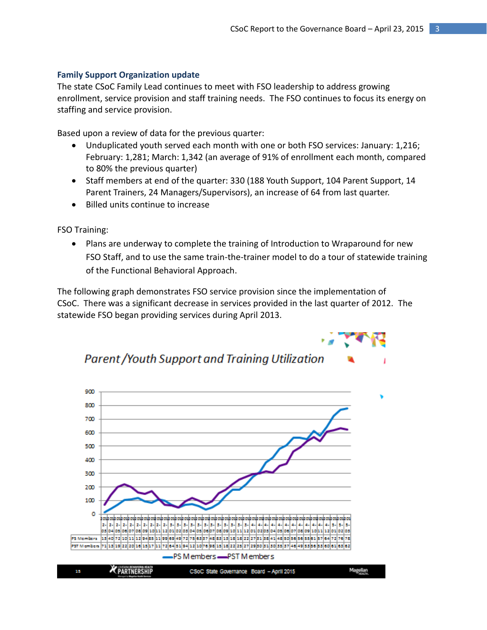#### **Family Support Organization update**

The state CSoC Family Lead continues to meet with FSO leadership to address growing enrollment, service provision and staff training needs. The FSO continues to focus its energy on staffing and service provision.

Based upon a review of data for the previous quarter:

- Unduplicated youth served each month with one or both FSO services: January: 1,216; February: 1,281; March: 1,342 (an average of 91% of enrollment each month, compared to 80% the previous quarter)
- Staff members at end of the quarter: 330 (188 Youth Support, 104 Parent Support, 14 Parent Trainers, 24 Managers/Supervisors), an increase of 64 from last quarter.
- Billed units continue to increase

FSO Training:

• Plans are underway to complete the training of Introduction to Wraparound for new FSO Staff, and to use the same train-the-trainer model to do a tour of statewide training of the Functional Behavioral Approach.

The following graph demonstrates FSO service provision since the implementation of CSoC. There was a significant decrease in services provided in the last quarter of 2012. The statewide FSO began providing services during April 2013.



**Parent /Youth Support and Training Utilization**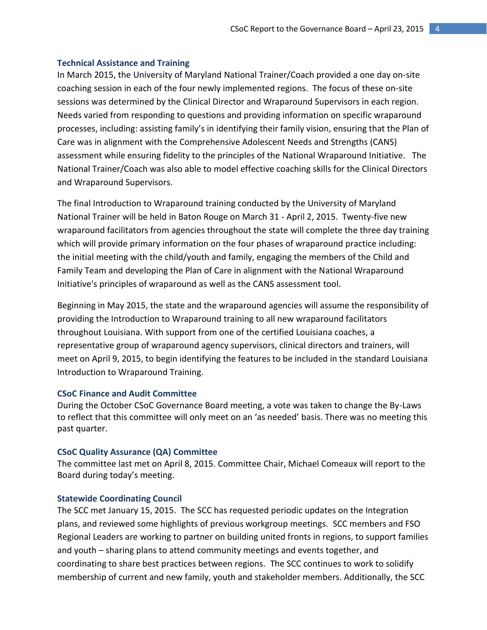#### **Technical Assistance and Training**

In March 2015, the University of Maryland National Trainer/Coach provided a one day on-site coaching session in each of the four newly implemented regions. The focus of these on-site sessions was determined by the Clinical Director and Wraparound Supervisors in each region. Needs varied from responding to questions and providing information on specific wraparound processes, including: assisting family's in identifying their family vision, ensuring that the Plan of Care was in alignment with the Comprehensive Adolescent Needs and Strengths (CANS) assessment while ensuring fidelity to the principles of the National Wraparound Initiative. The National Trainer/Coach was also able to model effective coaching skills for the Clinical Directors and Wraparound Supervisors.

The final Introduction to Wraparound training conducted by the University of Maryland National Trainer will be held in Baton Rouge on March 31 - April 2, 2015. Twenty-five new wraparound facilitators from agencies throughout the state will complete the three day training which will provide primary information on the four phases of wraparound practice including: the initial meeting with the child/youth and family, engaging the members of the Child and Family Team and developing the Plan of Care in alignment with the National Wraparound Initiative's principles of wraparound as well as the CANS assessment tool.

Beginning in May 2015, the state and the wraparound agencies will assume the responsibility of providing the Introduction to Wraparound training to all new wraparound facilitators throughout Louisiana. With support from one of the certified Louisiana coaches, a representative group of wraparound agency supervisors, clinical directors and trainers, will meet on April 9, 2015, to begin identifying the features to be included in the standard Louisiana Introduction to Wraparound Training.

#### **CSoC Finance and Audit Committee**

During the October CSoC Governance Board meeting, a vote was taken to change the By-Laws to reflect that this committee will only meet on an 'as needed' basis. There was no meeting this past quarter.

#### **CSoC Quality Assurance (QA) Committee**

The committee last met on April 8, 2015. Committee Chair, Michael Comeaux will report to the Board during today's meeting.

#### **Statewide Coordinating Council**

The SCC met January 15, 2015. The SCC has requested periodic updates on the Integration plans, and reviewed some highlights of previous workgroup meetings. SCC members and FSO Regional Leaders are working to partner on building united fronts in regions, to support families and youth – sharing plans to attend community meetings and events together, and coordinating to share best practices between regions. The SCC continues to work to solidify membership of current and new family, youth and stakeholder members. Additionally, the SCC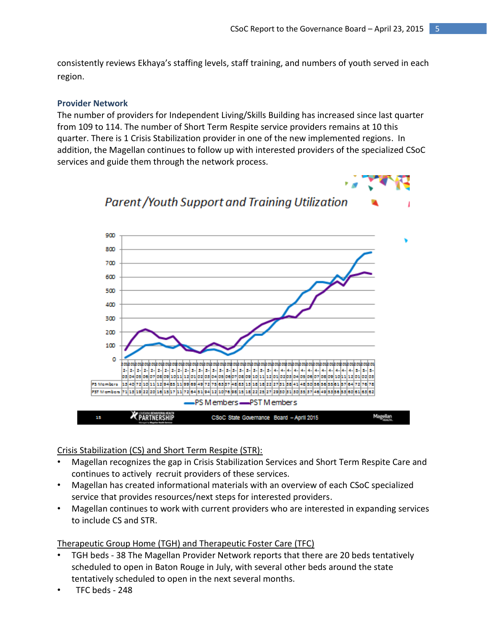consistently reviews Ekhaya's staffing levels, staff training, and numbers of youth served in each region.

#### **Provider Network**

The number of providers for Independent Living/Skills Building has increased since last quarter from 109 to 114. The number of Short Term Respite service providers remains at 10 this quarter. There is 1 Crisis Stabilization provider in one of the new implemented regions. In addition, the Magellan continues to follow up with interested providers of the specialized CSoC services and guide them through the network process.



### Crisis Stabilization (CS) and Short Term Respite (STR):

- Magellan recognizes the gap in Crisis Stabilization Services and Short Term Respite Care and continues to actively recruit providers of these services.
- Magellan has created informational materials with an overview of each CSoC specialized service that provides resources/next steps for interested providers.
- Magellan continues to work with current providers who are interested in expanding services to include CS and STR.

### Therapeutic Group Home (TGH) and Therapeutic Foster Care (TFC)

- TGH beds 38 The Magellan Provider Network reports that there are 20 beds tentatively scheduled to open in Baton Rouge in July, with several other beds around the state tentatively scheduled to open in the next several months.
- TFC beds 248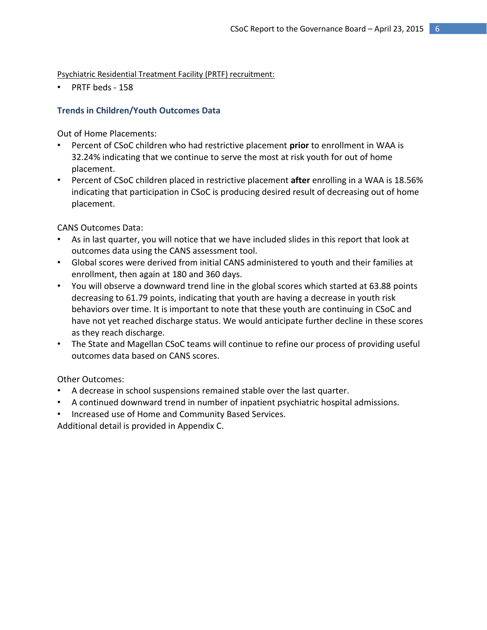Psychiatric Residential Treatment Facility (PRTF) recruitment:

PRTF beds - 158

### **Trends in Children/Youth Outcomes Data**

Out of Home Placements:

- Percent of CSoC children who had restrictive placement **prior** to enrollment in WAA is 32.24% indicating that we continue to serve the most at risk youth for out of home placement.
- Percent of CSoC children placed in restrictive placement **after** enrolling in a WAA is 18.56% indicating that participation in CSoC is producing desired result of decreasing out of home placement.

CANS Outcomes Data:

- As in last quarter, you will notice that we have included slides in this report that look at outcomes data using the CANS assessment tool.
- Global scores were derived from initial CANS administered to youth and their families at enrollment, then again at 180 and 360 days.
- You will observe a downward trend line in the global scores which started at 63.88 points decreasing to 61.79 points, indicating that youth are having a decrease in youth risk behaviors over time. It is important to note that these youth are continuing in CSoC and have not yet reached discharge status. We would anticipate further decline in these scores as they reach discharge.
- The State and Magellan CSoC teams will continue to refine our process of providing useful outcomes data based on CANS scores.

Other Outcomes:

- A decrease in school suspensions remained stable over the last quarter.
- A continued downward trend in number of inpatient psychiatric hospital admissions.
- Increased use of Home and Community Based Services.

Additional detail is provided in Appendix C.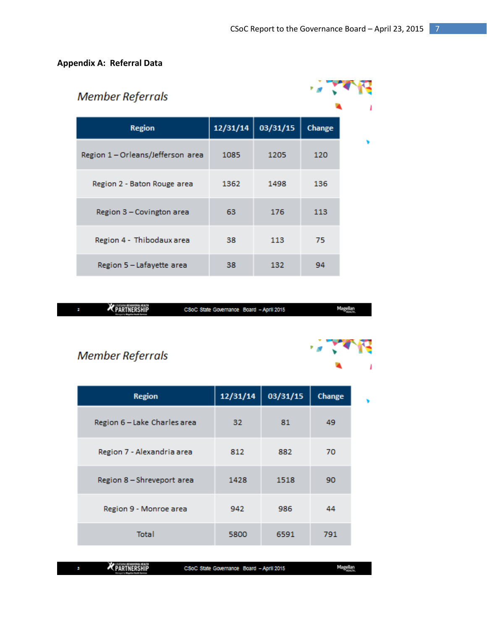r a

## **Appendix A: Referral Data**

| <b>Member Referrals</b>           |          |          |        |  |
|-----------------------------------|----------|----------|--------|--|
| <b>Region</b>                     | 12/31/14 | 03/31/15 | Change |  |
| Region 1 - Orleans/Jefferson area | 1085     | 1205     | 120    |  |
| Region 2 - Baton Rouge area       | 1362     | 1498     | 136    |  |
| Region 3 - Covington area         | 63       | 176      | 113    |  |
| Region 4 - Thibodaux area         | 38       | 113      | 75     |  |
| Region 5 - Lafayette area         | 38       | 132      | 94     |  |

| <b>K</b> PARTNERSHIP | Board - April 2015<br><b>CSoC State Governance</b> | <b>Magazine</b> |
|----------------------|----------------------------------------------------|-----------------|
|                      |                                                    |                 |

## **Member Referrals**

| <b>Region</b>                | 12/31/14 | 03/31/15 | Change |  |
|------------------------------|----------|----------|--------|--|
| Region 6 - Lake Charles area | 32       | 81       | 49     |  |
| Region 7 - Alexandria area   | 812      | 882      | 70     |  |
| Region 8 - Shreveport area   | 1428     | 1518     | 90     |  |
| Region 9 - Monroe area       | 942      | 986      | 44     |  |
| Total                        | 5800     | 6591     | 791    |  |

**X** PARTNERSHIP

CSoC State Governance Board - April 2015

**Magellan**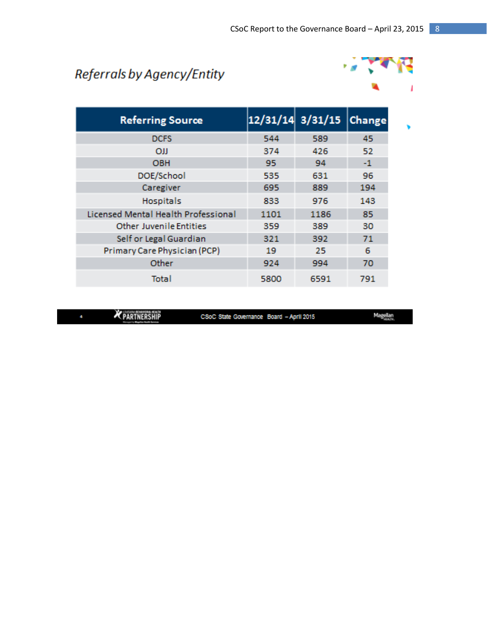# Referrals by Agency/Entity



| <b>Referring Source</b>                    |      | $12/31/14$ $3/31/15$ | <b>Change</b> |
|--------------------------------------------|------|----------------------|---------------|
| <b>DCFS</b>                                | 544  | 589                  | 45            |
| <b>OJJ</b>                                 | 374  | 426                  | 52            |
| <b>OBH</b>                                 | 95   | 94                   | $-1$          |
| DOE/School                                 | 535  | 631                  | 96            |
| Caregiver                                  | 695  | 889                  | 194           |
| <b>Hospitals</b>                           | 833  | 976                  | 143           |
| <b>Licensed Mental Health Professional</b> | 1101 | 1186                 | 85            |
| <b>Other Juvenile Entities</b>             | 359  | 389                  | 30            |
| Self or Legal Guardian                     | 321  | 392                  | 71            |
| Primary Care Physician (PCP)               | 19   | 25                   | 6             |
| Other                                      | 924  | 994                  | 70            |
| Total                                      | 5800 | 6591                 | 791           |

PARTNERSHIP

CSoC State Governance Board - April 2015

Magellan<br>Histori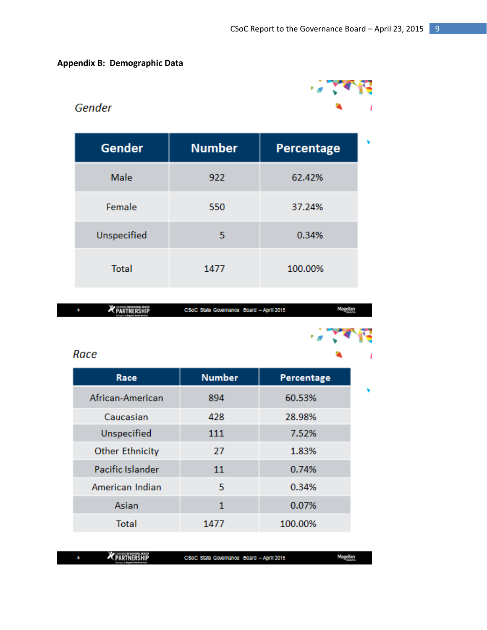## **Appendix B: Demographic Data**



## Gender

| <b>Gender</b> | <b>Number</b> | Percentage |  |
|---------------|---------------|------------|--|
| Male          | 922           | 62.42%     |  |
| Female        | 550           | 37.24%     |  |
| Unspecified   | 5             | 0.34%      |  |
| <b>Total</b>  | 1477          | 100.00%    |  |

| <b>K PARTNERSHIP</b> | CSoC State Governance Board - April 2015 |  |
|----------------------|------------------------------------------|--|
|                      |                                          |  |

## Race

| Race                   | <b>Number</b> | Percentage |
|------------------------|---------------|------------|
| African-American       | 894           | 60.53%     |
| Caucasian              | 428           | 28.98%     |
| Unspecified            | 111           | 7.52%      |
| <b>Other Ethnicity</b> | 27            | 1.83%      |
| Pacific Islander       | 11            | 0.74%      |
| American Indian        | 5             | 0.34%      |
| Asian                  | 1             | 0.07%      |
| <b>Total</b>           | 1477          | 100.00%    |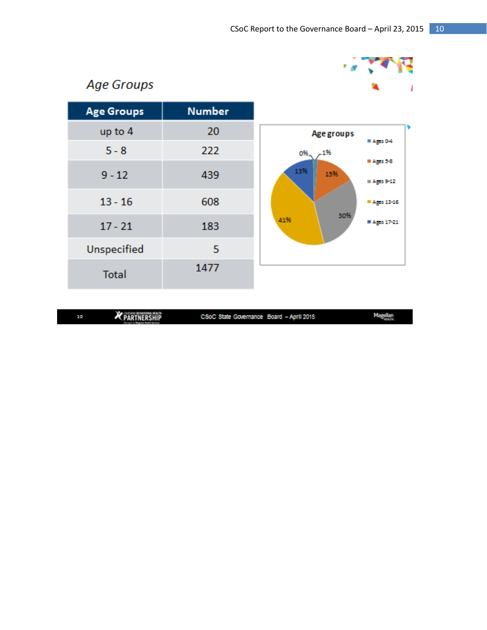

## **Age Groups**

| <b>Age Groups</b> | <b>Number</b> |     |
|-------------------|---------------|-----|
| up to 4           | 20            |     |
| $5 - 8$           | 222           |     |
| $9 - 12$          | 439           |     |
| $13 - 16$         | 608           |     |
| $17 - 21$         | 183           | 419 |
| Unspecified       | 5             |     |
| <b>Total</b>      | 1477          |     |

| <b>Age groups</b>    |                    |
|----------------------|--------------------|
|                      | ≡ Ages 0-4         |
| $-1\%$<br>0%_<br>13% | ■ Agis 5-8         |
| 15%                  | $\equiv$ Ages 9-12 |
|                      | ■ Ages 13-16       |
| 30%<br>41%           | ■ Ages 17-21       |
|                      |                    |

| 10 | <b>No. 1 Experience Printers</b><br><b>K PARTNERSHIP</b> | CSoC State Governance Board - April 2015 | <b>Magnetic</b> |
|----|----------------------------------------------------------|------------------------------------------|-----------------|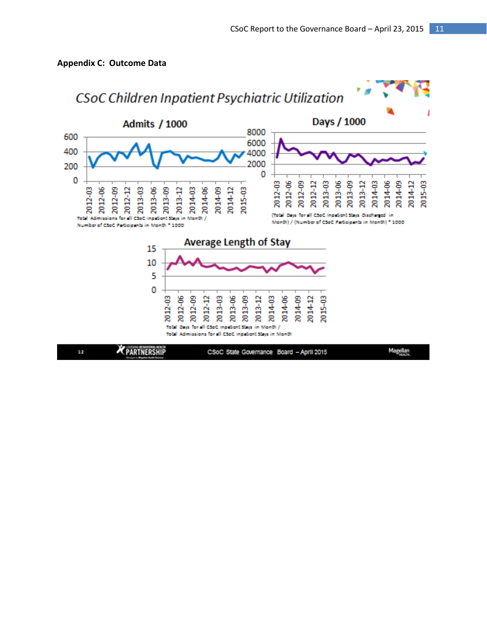#### **Appendix C: Outcome Data**

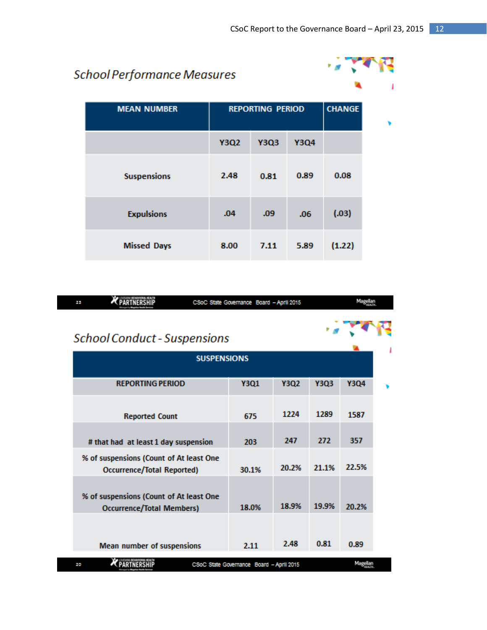## **School Performance Measures**



| <b>MEAN NUMBER</b> | <b>REPORTING PERIOD</b> |             |             | <b>CHANGE</b> |
|--------------------|-------------------------|-------------|-------------|---------------|
|                    | <b>Y3Q2</b>             | <b>Y3Q3</b> | <b>Y3Q4</b> |               |
| <b>Suspensions</b> | 2.48                    | 0.81        | 0.89        | 0.08          |
| <b>Expulsions</b>  | .04                     | .09         | .06         | (.03)         |
| <b>Missed Days</b> | 8.00                    | 7.11        | 5.89        | (1.22)        |

| <b>School Conduct - Suspensions</b>              |       |                                          |             |  |
|--------------------------------------------------|-------|------------------------------------------|-------------|--|
| <b>SUSPENSIONS</b>                               |       |                                          |             |  |
| <b>Y3Q1</b>                                      | Y3Q2  | <b>Y3Q3</b>                              | <b>Y3Q4</b> |  |
| 675                                              | 1224  | 1289                                     | 1587        |  |
| 203                                              | 247   | 272                                      | 357         |  |
| % of suspensions (Count of At least One<br>30.1% | 20.2% | 21.1%                                    | 22.5%       |  |
| % of suspensions (Count of At least One<br>18.0% | 18.9% | 19.9%                                    | 20.2%       |  |
| 2.11                                             | 2.48  | 0.81                                     | 0.89        |  |
|                                                  |       | CSoC State Governance Board - April 2015 |             |  |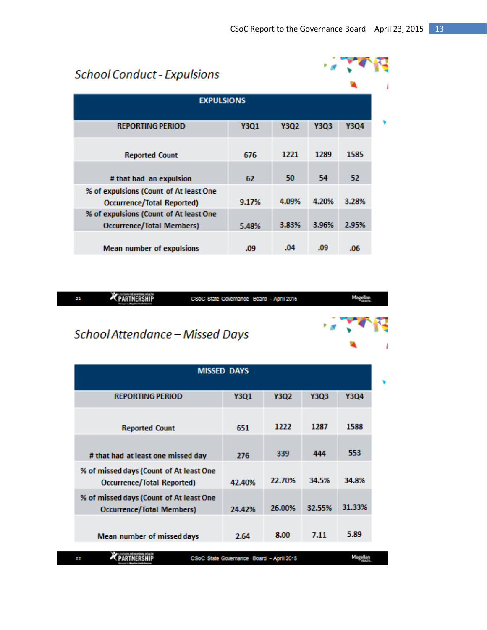ی م

# **School Conduct - Expulsions**

| <b>EXPULSIONS</b>                                                          |             |             |             |             |
|----------------------------------------------------------------------------|-------------|-------------|-------------|-------------|
| <b>REPORTING PERIOD</b>                                                    | <b>Y3Q1</b> | <b>Y3Q2</b> | <b>Y3Q3</b> | <b>Y3Q4</b> |
| <b>Reported Count</b>                                                      | 676         | 1221        | 1289        | 1585        |
| # that had an expulsion                                                    | 62          | 50          | 54          | 52          |
| % of expulsions (Count of At least One<br>Occurrence/Total Reported)       | 9.17%       | 4.09%       | 4.20%       | 3.28%       |
| % of expulsions (Count of At least One<br><b>Occurrence/Total Members)</b> | 5.48%       | 3.83%       | 3.96%       | 2.95%       |
| <b>Mean number of expulsions</b>                                           | .09         | .04         | .09         | .06         |

| Ŧ. | CSoC State Governance Board - April 2015 |                                   |
|----|------------------------------------------|-----------------------------------|
|    | School Attendance - Missed Days          | $\mathcal{L}$ , and $\mathcal{L}$ |

| <b>MISSED DAYS</b>                                                    |             |        |        |             |
|-----------------------------------------------------------------------|-------------|--------|--------|-------------|
| <b>REPORTING PERIOD</b>                                               | <b>Y3Q1</b> | Y3Q2   | Y3Q3   | <b>Y304</b> |
| <b>Reported Count</b>                                                 | 651         | 1222   | 1287   | 1588        |
| # that had at least one missed day                                    | 276         | 339    | 444    | 553         |
| % of missed days (Count of At least One<br>Occurrence/Total Reported) | 42.40%      | 22.70% | 34.5%  | 34.8%       |
| % of missed days (Count of At least One<br>Occurrence/Total Members)  | 24.42%      | 26.00% | 32.55% | 31.33%      |
| Mean number of missed days                                            | 2.64        | 8.00   | 7.11   | 5.89        |
| Magellan<br>CSoC State Governance Board - April 2015<br>22            |             |        |        |             |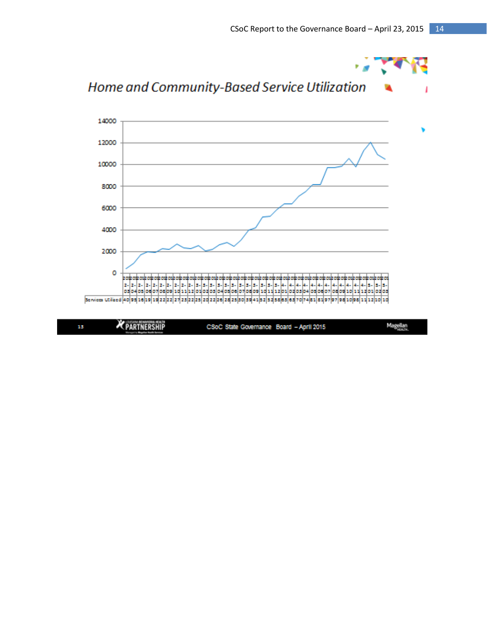